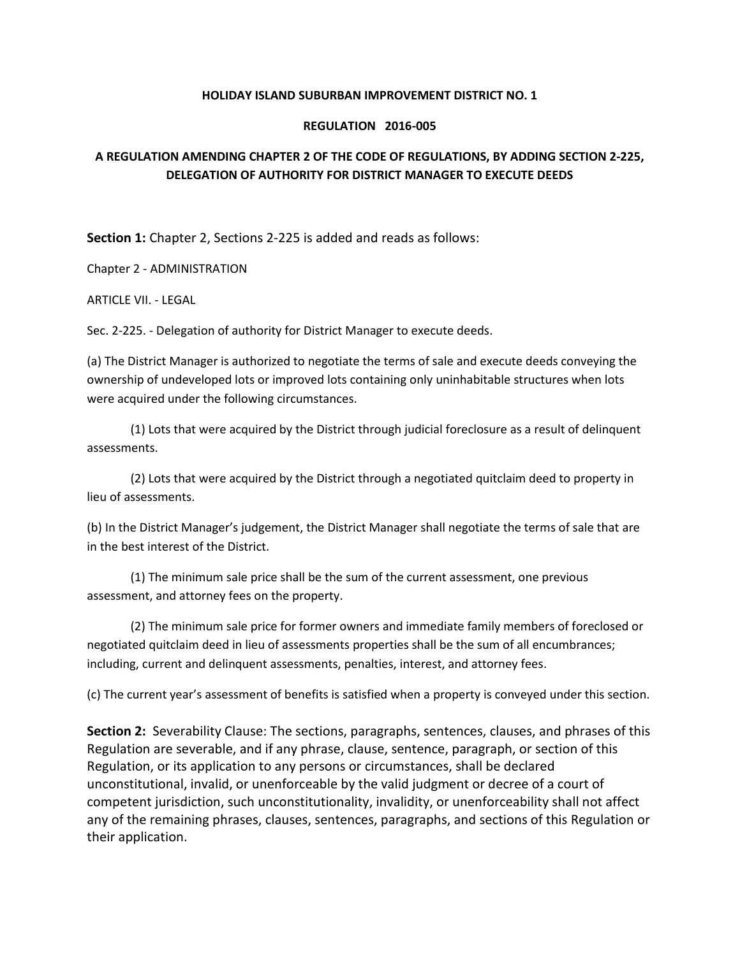## **HOLIDAY ISLAND SUBURBAN IMPROVEMENT DISTRICT NO. 1**

## **REGULATION 2016-005**

## **A REGULATION AMENDING CHAPTER 2 OF THE CODE OF REGULATIONS, BY ADDING SECTION 2-225, DELEGATION OF AUTHORITY FOR DISTRICT MANAGER TO EXECUTE DEEDS**

**Section 1:** Chapter 2, Sections 2-225 is added and reads as follows:

Chapter 2 - ADMINISTRATION

ARTICLE VII. - LEGAL

Sec. 2-225. - Delegation of authority for District Manager to execute deeds.

(a) The District Manager is authorized to negotiate the terms of sale and execute deeds conveying the ownership of undeveloped lots or improved lots containing only uninhabitable structures when lots were acquired under the following circumstances.

(1) Lots that were acquired by the District through judicial foreclosure as a result of delinquent assessments.

(2) Lots that were acquired by the District through a negotiated quitclaim deed to property in lieu of assessments.

(b) In the District Manager's judgement, the District Manager shall negotiate the terms of sale that are in the best interest of the District.

(1) The minimum sale price shall be the sum of the current assessment, one previous assessment, and attorney fees on the property.

(2) The minimum sale price for former owners and immediate family members of foreclosed or negotiated quitclaim deed in lieu of assessments properties shall be the sum of all encumbrances; including, current and delinquent assessments, penalties, interest, and attorney fees.

(c) The current year's assessment of benefits is satisfied when a property is conveyed under this section.

**Section 2:** Severability Clause: The sections, paragraphs, sentences, clauses, and phrases of this Regulation are severable, and if any phrase, clause, sentence, paragraph, or section of this Regulation, or its application to any persons or circumstances, shall be declared unconstitutional, invalid, or unenforceable by the valid judgment or decree of a court of competent jurisdiction, such unconstitutionality, invalidity, or unenforceability shall not affect any of the remaining phrases, clauses, sentences, paragraphs, and sections of this Regulation or their application.